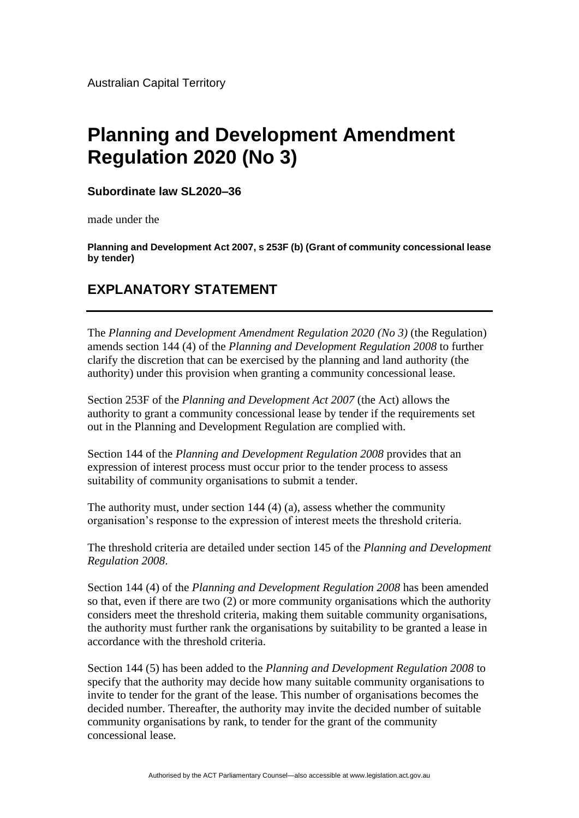## **Planning and Development Amendment Regulation 2020 (No 3)**

**Subordinate law SL2020–36**

made under the

**Planning and Development Act 2007, s 253F (b) (Grant of community concessional lease by tender)**

## **EXPLANATORY STATEMENT**

The *Planning and Development Amendment Regulation 2020 (No 3)* (the Regulation) amends section 144 (4) of the *Planning and Development Regulation 2008* to further clarify the discretion that can be exercised by the planning and land authority (the authority) under this provision when granting a community concessional lease.

Section 253F of the *Planning and Development Act 2007* (the Act) allows the authority to grant a community concessional lease by tender if the requirements set out in the Planning and Development Regulation are complied with.

Section 144 of the *Planning and Development Regulation 2008* provides that an expression of interest process must occur prior to the tender process to assess suitability of community organisations to submit a tender.

The authority must, under section 144 (4) (a), assess whether the community organisation's response to the expression of interest meets the threshold criteria.

The threshold criteria are detailed under section 145 of the *Planning and Development Regulation 2008*.

Section 144 (4) of the *Planning and Development Regulation 2008* has been amended so that, even if there are two (2) or more community organisations which the authority considers meet the threshold criteria, making them suitable community organisations, the authority must further rank the organisations by suitability to be granted a lease in accordance with the threshold criteria.

Section 144 (5) has been added to the *Planning and Development Regulation 2008* to specify that the authority may decide how many suitable community organisations to invite to tender for the grant of the lease. This number of organisations becomes the decided number. Thereafter, the authority may invite the decided number of suitable community organisations by rank, to tender for the grant of the community concessional lease.